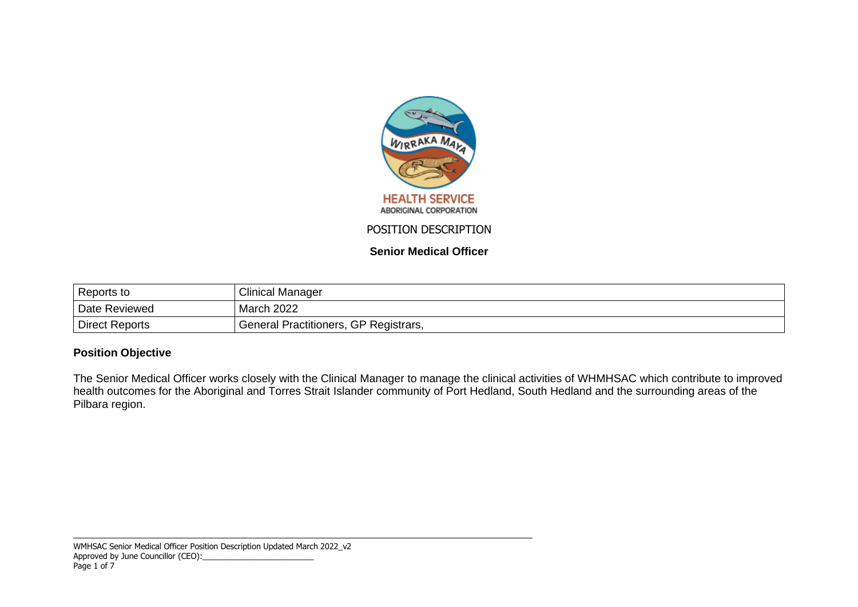

**Senior Medical Officer**

| Reports to     | <b>Clinical Manager</b>               |
|----------------|---------------------------------------|
| Date Reviewed  | March 2022                            |
| Direct Reports | General Practitioners, GP Registrars, |

## **Position Objective**

The Senior Medical Officer works closely with the Clinical Manager to manage the clinical activities of WHMHSAC which contribute to improved health outcomes for the Aboriginal and Torres Strait Islander community of Port Hedland, South Hedland and the surrounding areas of the Pilbara region.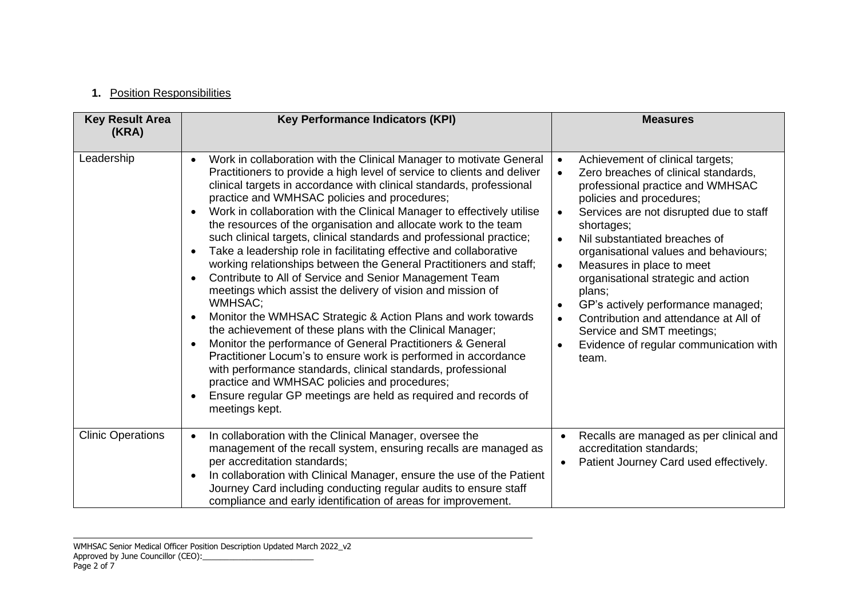# **1.** Position Responsibilities

| <b>Key Result Area</b><br>(KRA) | <b>Key Performance Indicators (KPI)</b>                                                                                                                                                                                                                                                                                                                                                                                                                                                                                                                                                                                                                                                                                                                                                                                                                                                                                                                                                                                                                                                                                                                                                                                                                                                                                            | <b>Measures</b>                                                                                                                                                                                                                                                                                                                                                                                                                                                                                                                                                                           |
|---------------------------------|------------------------------------------------------------------------------------------------------------------------------------------------------------------------------------------------------------------------------------------------------------------------------------------------------------------------------------------------------------------------------------------------------------------------------------------------------------------------------------------------------------------------------------------------------------------------------------------------------------------------------------------------------------------------------------------------------------------------------------------------------------------------------------------------------------------------------------------------------------------------------------------------------------------------------------------------------------------------------------------------------------------------------------------------------------------------------------------------------------------------------------------------------------------------------------------------------------------------------------------------------------------------------------------------------------------------------------|-------------------------------------------------------------------------------------------------------------------------------------------------------------------------------------------------------------------------------------------------------------------------------------------------------------------------------------------------------------------------------------------------------------------------------------------------------------------------------------------------------------------------------------------------------------------------------------------|
| Leadership                      | Work in collaboration with the Clinical Manager to motivate General<br>$\bullet$<br>Practitioners to provide a high level of service to clients and deliver<br>clinical targets in accordance with clinical standards, professional<br>practice and WMHSAC policies and procedures;<br>Work in collaboration with the Clinical Manager to effectively utilise<br>$\bullet$<br>the resources of the organisation and allocate work to the team<br>such clinical targets, clinical standards and professional practice;<br>Take a leadership role in facilitating effective and collaborative<br>$\bullet$<br>working relationships between the General Practitioners and staff;<br>Contribute to All of Service and Senior Management Team<br>$\bullet$<br>meetings which assist the delivery of vision and mission of<br><b>WMHSAC:</b><br>Monitor the WMHSAC Strategic & Action Plans and work towards<br>$\bullet$<br>the achievement of these plans with the Clinical Manager;<br>Monitor the performance of General Practitioners & General<br>$\bullet$<br>Practitioner Locum's to ensure work is performed in accordance<br>with performance standards, clinical standards, professional<br>practice and WMHSAC policies and procedures;<br>Ensure regular GP meetings are held as required and records of<br>meetings kept. | Achievement of clinical targets;<br>$\bullet$<br>Zero breaches of clinical standards,<br>professional practice and WMHSAC<br>policies and procedures;<br>Services are not disrupted due to staff<br>$\bullet$<br>shortages;<br>Nil substantiated breaches of<br>$\bullet$<br>organisational values and behaviours;<br>Measures in place to meet<br>$\bullet$<br>organisational strategic and action<br>plans;<br>GP's actively performance managed;<br>Contribution and attendance at All of<br>$\bullet$<br>Service and SMT meetings;<br>Evidence of regular communication with<br>team. |
| <b>Clinic Operations</b>        | In collaboration with the Clinical Manager, oversee the<br>management of the recall system, ensuring recalls are managed as<br>per accreditation standards;<br>In collaboration with Clinical Manager, ensure the use of the Patient<br>$\bullet$<br>Journey Card including conducting regular audits to ensure staff<br>compliance and early identification of areas for improvement.                                                                                                                                                                                                                                                                                                                                                                                                                                                                                                                                                                                                                                                                                                                                                                                                                                                                                                                                             | Recalls are managed as per clinical and<br>$\bullet$<br>accreditation standards;<br>Patient Journey Card used effectively.<br>٠                                                                                                                                                                                                                                                                                                                                                                                                                                                           |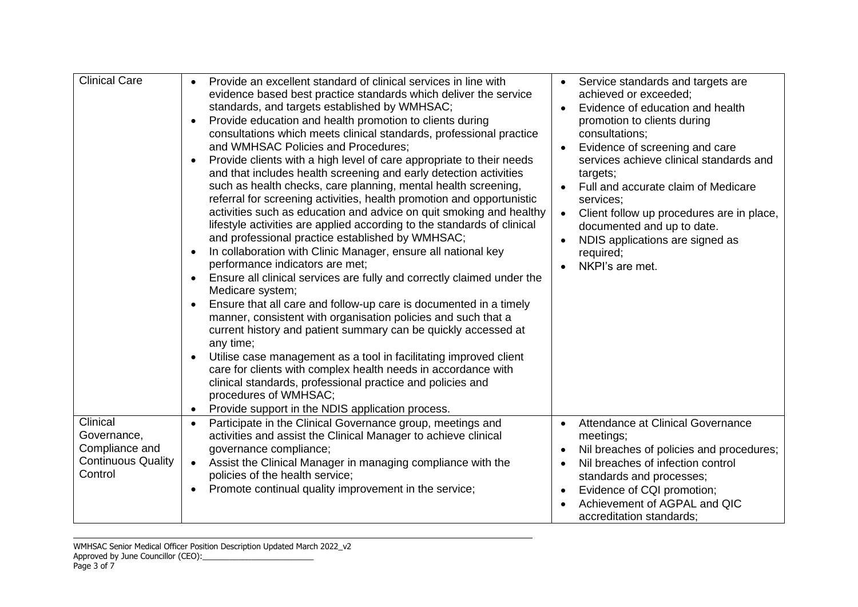| <b>Clinical Care</b>                                                              | Provide an excellent standard of clinical services in line with<br>$\bullet$<br>evidence based best practice standards which deliver the service<br>standards, and targets established by WMHSAC;<br>Provide education and health promotion to clients during<br>$\bullet$<br>consultations which meets clinical standards, professional practice<br>and WMHSAC Policies and Procedures;<br>Provide clients with a high level of care appropriate to their needs<br>and that includes health screening and early detection activities<br>such as health checks, care planning, mental health screening,<br>referral for screening activities, health promotion and opportunistic<br>activities such as education and advice on quit smoking and healthy<br>lifestyle activities are applied according to the standards of clinical<br>and professional practice established by WMHSAC;<br>In collaboration with Clinic Manager, ensure all national key<br>performance indicators are met;<br>Ensure all clinical services are fully and correctly claimed under the<br>Medicare system;<br>Ensure that all care and follow-up care is documented in a timely<br>manner, consistent with organisation policies and such that a<br>current history and patient summary can be quickly accessed at<br>any time;<br>Utilise case management as a tool in facilitating improved client<br>care for clients with complex health needs in accordance with<br>clinical standards, professional practice and policies and<br>procedures of WMHSAC;<br>Provide support in the NDIS application process. | Service standards and targets are<br>achieved or exceeded;<br>Evidence of education and health<br>promotion to clients during<br>consultations;<br>Evidence of screening and care<br>$\bullet$<br>services achieve clinical standards and<br>targets;<br>Full and accurate claim of Medicare<br>services:<br>Client follow up procedures are in place,<br>$\bullet$<br>documented and up to date.<br>NDIS applications are signed as<br>required;<br>NKPI's are met. |
|-----------------------------------------------------------------------------------|------------------------------------------------------------------------------------------------------------------------------------------------------------------------------------------------------------------------------------------------------------------------------------------------------------------------------------------------------------------------------------------------------------------------------------------------------------------------------------------------------------------------------------------------------------------------------------------------------------------------------------------------------------------------------------------------------------------------------------------------------------------------------------------------------------------------------------------------------------------------------------------------------------------------------------------------------------------------------------------------------------------------------------------------------------------------------------------------------------------------------------------------------------------------------------------------------------------------------------------------------------------------------------------------------------------------------------------------------------------------------------------------------------------------------------------------------------------------------------------------------------------------------------------------------------------------------------------------|----------------------------------------------------------------------------------------------------------------------------------------------------------------------------------------------------------------------------------------------------------------------------------------------------------------------------------------------------------------------------------------------------------------------------------------------------------------------|
| Clinical<br>Governance,<br>Compliance and<br><b>Continuous Quality</b><br>Control | Participate in the Clinical Governance group, meetings and<br>$\bullet$<br>activities and assist the Clinical Manager to achieve clinical<br>governance compliance;<br>Assist the Clinical Manager in managing compliance with the<br>$\bullet$<br>policies of the health service;<br>Promote continual quality improvement in the service;<br>$\bullet$                                                                                                                                                                                                                                                                                                                                                                                                                                                                                                                                                                                                                                                                                                                                                                                                                                                                                                                                                                                                                                                                                                                                                                                                                                       | Attendance at Clinical Governance<br>$\bullet$<br>meetings;<br>Nil breaches of policies and procedures;<br>Nil breaches of infection control<br>standards and processes;<br>Evidence of CQI promotion;<br>Achievement of AGPAL and QIC<br>accreditation standards;                                                                                                                                                                                                   |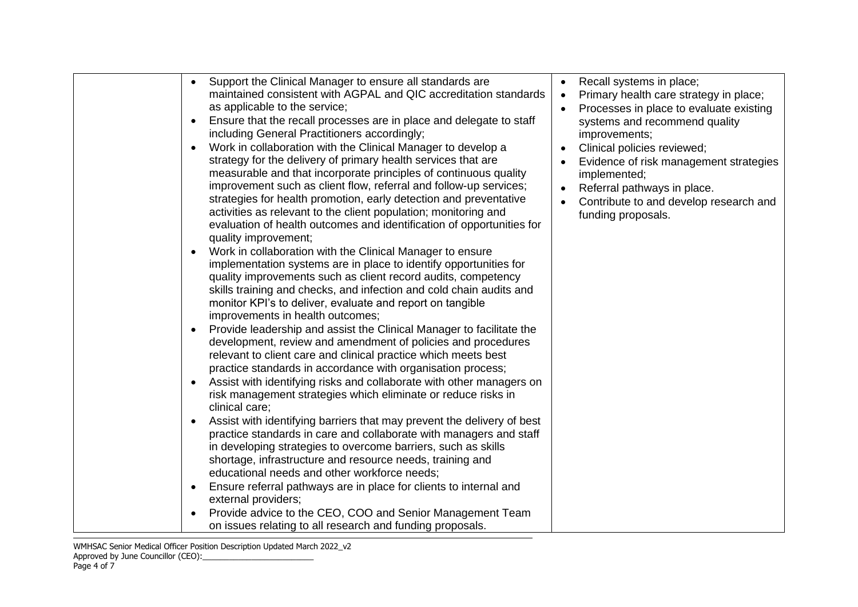|  | Support the Clinical Manager to ensure all standards are<br>maintained consistent with AGPAL and QIC accreditation standards<br>as applicable to the service;<br>Ensure that the recall processes are in place and delegate to staff<br>including General Practitioners accordingly;<br>Work in collaboration with the Clinical Manager to develop a<br>$\bullet$<br>strategy for the delivery of primary health services that are<br>measurable and that incorporate principles of continuous quality<br>improvement such as client flow, referral and follow-up services;<br>strategies for health promotion, early detection and preventative<br>activities as relevant to the client population; monitoring and<br>evaluation of health outcomes and identification of opportunities for<br>quality improvement;<br>Work in collaboration with the Clinical Manager to ensure<br>$\bullet$<br>implementation systems are in place to identify opportunities for<br>quality improvements such as client record audits, competency<br>skills training and checks, and infection and cold chain audits and<br>monitor KPI's to deliver, evaluate and report on tangible<br>improvements in health outcomes;<br>Provide leadership and assist the Clinical Manager to facilitate the<br>$\bullet$<br>development, review and amendment of policies and procedures<br>relevant to client care and clinical practice which meets best<br>practice standards in accordance with organisation process;<br>Assist with identifying risks and collaborate with other managers on<br>risk management strategies which eliminate or reduce risks in<br>clinical care;<br>Assist with identifying barriers that may prevent the delivery of best<br>practice standards in care and collaborate with managers and staff<br>in developing strategies to overcome barriers, such as skills<br>shortage, infrastructure and resource needs, training and<br>educational needs and other workforce needs;<br>Ensure referral pathways are in place for clients to internal and<br>$\bullet$<br>external providers; | Recall systems in place;<br>Primary health care strategy in place;<br>$\bullet$<br>Processes in place to evaluate existing<br>systems and recommend quality<br>improvements;<br>Clinical policies reviewed;<br>Evidence of risk management strategies<br>implemented;<br>Referral pathways in place.<br>Contribute to and develop research and<br>funding proposals. |
|--|------------------------------------------------------------------------------------------------------------------------------------------------------------------------------------------------------------------------------------------------------------------------------------------------------------------------------------------------------------------------------------------------------------------------------------------------------------------------------------------------------------------------------------------------------------------------------------------------------------------------------------------------------------------------------------------------------------------------------------------------------------------------------------------------------------------------------------------------------------------------------------------------------------------------------------------------------------------------------------------------------------------------------------------------------------------------------------------------------------------------------------------------------------------------------------------------------------------------------------------------------------------------------------------------------------------------------------------------------------------------------------------------------------------------------------------------------------------------------------------------------------------------------------------------------------------------------------------------------------------------------------------------------------------------------------------------------------------------------------------------------------------------------------------------------------------------------------------------------------------------------------------------------------------------------------------------------------------------------------------------------------------------------------------------------------------------------------------------------|----------------------------------------------------------------------------------------------------------------------------------------------------------------------------------------------------------------------------------------------------------------------------------------------------------------------------------------------------------------------|
|--|------------------------------------------------------------------------------------------------------------------------------------------------------------------------------------------------------------------------------------------------------------------------------------------------------------------------------------------------------------------------------------------------------------------------------------------------------------------------------------------------------------------------------------------------------------------------------------------------------------------------------------------------------------------------------------------------------------------------------------------------------------------------------------------------------------------------------------------------------------------------------------------------------------------------------------------------------------------------------------------------------------------------------------------------------------------------------------------------------------------------------------------------------------------------------------------------------------------------------------------------------------------------------------------------------------------------------------------------------------------------------------------------------------------------------------------------------------------------------------------------------------------------------------------------------------------------------------------------------------------------------------------------------------------------------------------------------------------------------------------------------------------------------------------------------------------------------------------------------------------------------------------------------------------------------------------------------------------------------------------------------------------------------------------------------------------------------------------------------|----------------------------------------------------------------------------------------------------------------------------------------------------------------------------------------------------------------------------------------------------------------------------------------------------------------------------------------------------------------------|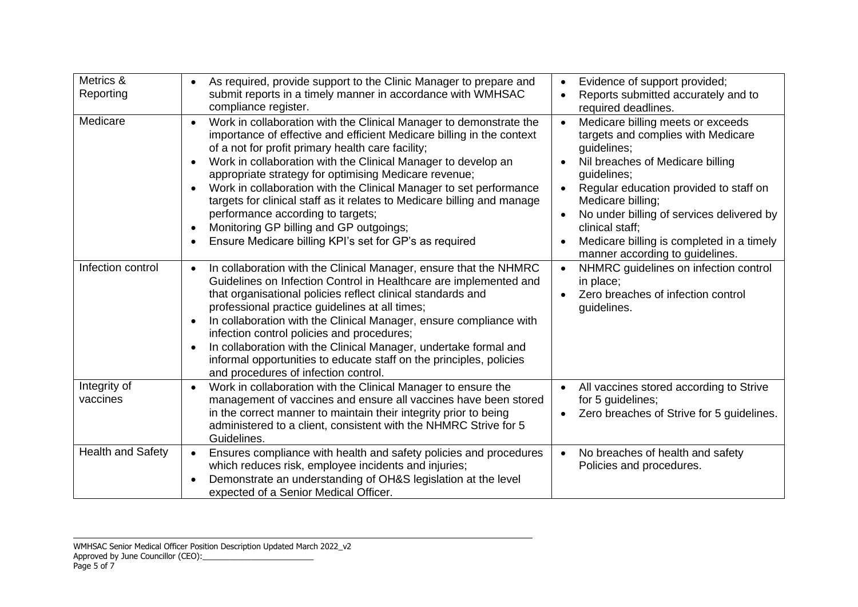| Metrics &<br>Reporting   | As required, provide support to the Clinic Manager to prepare and<br>submit reports in a timely manner in accordance with WMHSAC<br>compliance register.                                                                                                                                                                                                                                                                                                                                                                                                                                                                           | Evidence of support provided;<br>$\bullet$<br>Reports submitted accurately and to<br>required deadlines.                                                                                                                                                                                                                                                                           |
|--------------------------|------------------------------------------------------------------------------------------------------------------------------------------------------------------------------------------------------------------------------------------------------------------------------------------------------------------------------------------------------------------------------------------------------------------------------------------------------------------------------------------------------------------------------------------------------------------------------------------------------------------------------------|------------------------------------------------------------------------------------------------------------------------------------------------------------------------------------------------------------------------------------------------------------------------------------------------------------------------------------------------------------------------------------|
| Medicare                 | Work in collaboration with the Clinical Manager to demonstrate the<br>$\bullet$<br>importance of effective and efficient Medicare billing in the context<br>of a not for profit primary health care facility;<br>Work in collaboration with the Clinical Manager to develop an<br>appropriate strategy for optimising Medicare revenue;<br>Work in collaboration with the Clinical Manager to set performance<br>targets for clinical staff as it relates to Medicare billing and manage<br>performance according to targets;<br>Monitoring GP billing and GP outgoings;<br>Ensure Medicare billing KPI's set for GP's as required | Medicare billing meets or exceeds<br>$\bullet$<br>targets and complies with Medicare<br>guidelines;<br>Nil breaches of Medicare billing<br>guidelines;<br>Regular education provided to staff on<br>$\bullet$<br>Medicare billing;<br>No under billing of services delivered by<br>clinical staff;<br>Medicare billing is completed in a timely<br>manner according to guidelines. |
| Infection control        | In collaboration with the Clinical Manager, ensure that the NHMRC<br>Guidelines on Infection Control in Healthcare are implemented and<br>that organisational policies reflect clinical standards and<br>professional practice guidelines at all times;<br>In collaboration with the Clinical Manager, ensure compliance with<br>infection control policies and procedures;<br>In collaboration with the Clinical Manager, undertake formal and<br>informal opportunities to educate staff on the principles, policies<br>and procedures of infection control.                                                                     | NHMRC guidelines on infection control<br>$\bullet$<br>in place;<br>Zero breaches of infection control<br>guidelines.                                                                                                                                                                                                                                                               |
| Integrity of<br>vaccines | Work in collaboration with the Clinical Manager to ensure the<br>management of vaccines and ensure all vaccines have been stored<br>in the correct manner to maintain their integrity prior to being<br>administered to a client, consistent with the NHMRC Strive for 5<br>Guidelines.                                                                                                                                                                                                                                                                                                                                            | All vaccines stored according to Strive<br>$\bullet$<br>for 5 guidelines;<br>Zero breaches of Strive for 5 guidelines.                                                                                                                                                                                                                                                             |
| Health and Safety        | Ensures compliance with health and safety policies and procedures<br>which reduces risk, employee incidents and injuries;<br>Demonstrate an understanding of OH&S legislation at the level<br>expected of a Senior Medical Officer.                                                                                                                                                                                                                                                                                                                                                                                                | No breaches of health and safety<br>$\bullet$<br>Policies and procedures.                                                                                                                                                                                                                                                                                                          |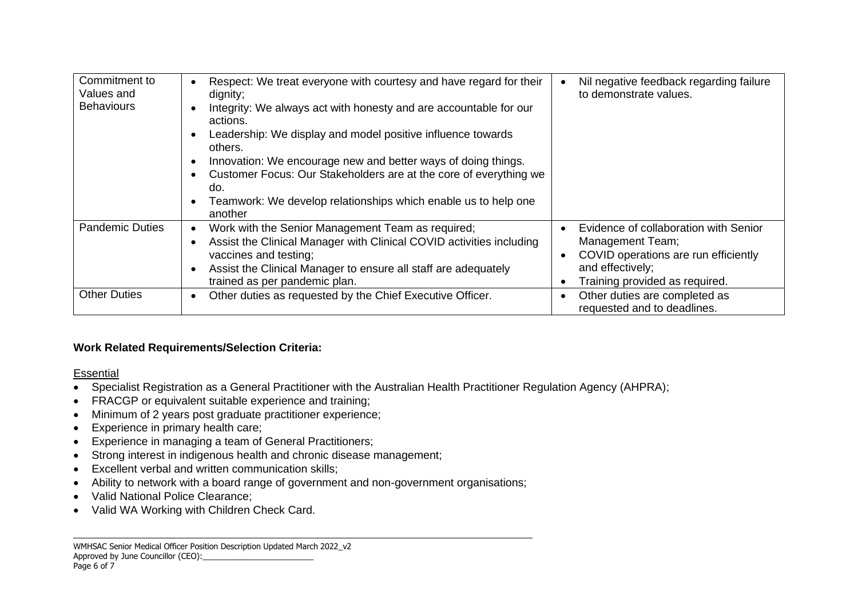| Commitment to<br>Values and<br><b>Behaviours</b> | Respect: We treat everyone with courtesy and have regard for their<br>dignity;<br>Integrity: We always act with honesty and are accountable for our<br>actions.<br>Leadership: We display and model positive influence towards<br>others.<br>Innovation: We encourage new and better ways of doing things.<br>Customer Focus: Our Stakeholders are at the core of everything we<br>do.<br>Teamwork: We develop relationships which enable us to help one<br>another | Nil negative feedback regarding failure<br>to demonstrate values.                                                                                       |
|--------------------------------------------------|---------------------------------------------------------------------------------------------------------------------------------------------------------------------------------------------------------------------------------------------------------------------------------------------------------------------------------------------------------------------------------------------------------------------------------------------------------------------|---------------------------------------------------------------------------------------------------------------------------------------------------------|
| <b>Pandemic Duties</b>                           | Work with the Senior Management Team as required;<br>Assist the Clinical Manager with Clinical COVID activities including<br>vaccines and testing;<br>Assist the Clinical Manager to ensure all staff are adequately<br>trained as per pandemic plan.                                                                                                                                                                                                               | Evidence of collaboration with Senior<br>Management Team;<br>COVID operations are run efficiently<br>and effectively;<br>Training provided as required. |
| <b>Other Duties</b>                              | Other duties as requested by the Chief Executive Officer.                                                                                                                                                                                                                                                                                                                                                                                                           | Other duties are completed as<br>requested and to deadlines.                                                                                            |

### **Work Related Requirements/Selection Criteria:**

### **Essential**

- Specialist Registration as a General Practitioner with the Australian Health Practitioner Regulation Agency (AHPRA);
- FRACGP or equivalent suitable experience and training;
- Minimum of 2 years post graduate practitioner experience;
- Experience in primary health care;
- Experience in managing a team of General Practitioners;
- Strong interest in indigenous health and chronic disease management;
- Excellent verbal and written communication skills;
- Ability to network with a board range of government and non-government organisations;
- Valid National Police Clearance;
- Valid WA Working with Children Check Card.